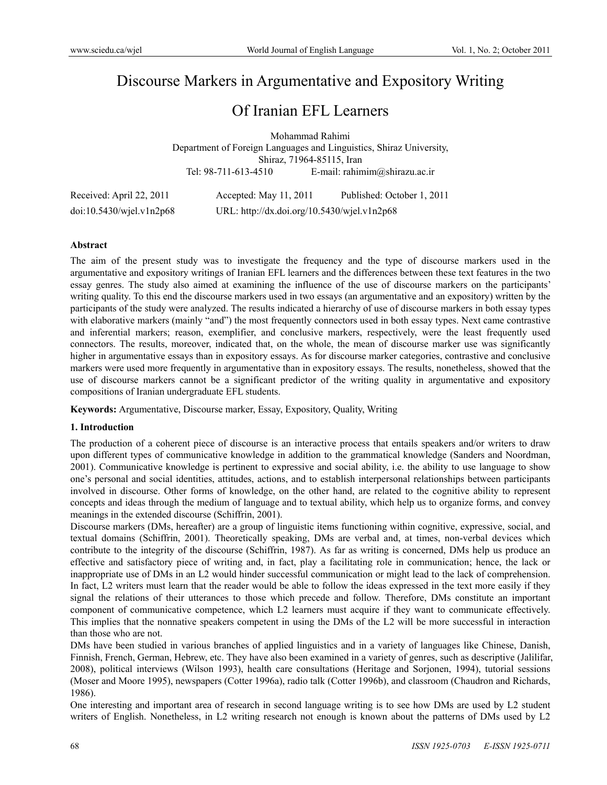# Discourse Markers in Argumentative and Expository Writing

# Of Iranian EFL Learners

Mohammad Rahimi Department of Foreign Languages and Linguistics, Shiraz University, Shiraz, 71964-85115, Iran Tel: 98-711-613-4510 E-mail: rahimim@shirazu.ac.ir

| Received: April 22, 2011       | Accepted: May $11, 2011$                    | Published: October 1, 2011 |
|--------------------------------|---------------------------------------------|----------------------------|
| $doi:10.5430/w$ jel.v $1n2p68$ | URL: http://dx.doi.org/10.5430/wjel.v1n2p68 |                            |

## **Abstract**

The aim of the present study was to investigate the frequency and the type of discourse markers used in the argumentative and expository writings of Iranian EFL learners and the differences between these text features in the two essay genres. The study also aimed at examining the influence of the use of discourse markers on the participants' writing quality. To this end the discourse markers used in two essays (an argumentative and an expository) written by the participants of the study were analyzed. The results indicated a hierarchy of use of discourse markers in both essay types with elaborative markers (mainly "and") the most frequently connectors used in both essay types. Next came contrastive and inferential markers; reason, exemplifier, and conclusive markers, respectively, were the least frequently used connectors. The results, moreover, indicated that, on the whole, the mean of discourse marker use was significantly higher in argumentative essays than in expository essays. As for discourse marker categories, contrastive and conclusive markers were used more frequently in argumentative than in expository essays. The results, nonetheless, showed that the use of discourse markers cannot be a significant predictor of the writing quality in argumentative and expository compositions of Iranian undergraduate EFL students.

**Keywords:** Argumentative, Discourse marker, Essay, Expository, Quality, Writing

#### **1. Introduction**

The production of a coherent piece of discourse is an interactive process that entails speakers and/or writers to draw upon different types of communicative knowledge in addition to the grammatical knowledge (Sanders and Noordman, 2001). Communicative knowledge is pertinent to expressive and social ability, i.e. the ability to use language to show one's personal and social identities, attitudes, actions, and to establish interpersonal relationships between participants involved in discourse. Other forms of knowledge, on the other hand, are related to the cognitive ability to represent concepts and ideas through the medium of language and to textual ability, which help us to organize forms, and convey meanings in the extended discourse (Schiffrin, 2001).

Discourse markers (DMs, hereafter) are a group of linguistic items functioning within cognitive, expressive, social, and textual domains (Schiffrin, 2001). Theoretically speaking, DMs are verbal and, at times, non-verbal devices which contribute to the integrity of the discourse (Schiffrin, 1987). As far as writing is concerned, DMs help us produce an effective and satisfactory piece of writing and, in fact, play a facilitating role in communication; hence, the lack or inappropriate use of DMs in an L2 would hinder successful communication or might lead to the lack of comprehension. In fact, L2 writers must learn that the reader would be able to follow the ideas expressed in the text more easily if they signal the relations of their utterances to those which precede and follow. Therefore, DMs constitute an important component of communicative competence, which L2 learners must acquire if they want to communicate effectively. This implies that the nonnative speakers competent in using the DMs of the L2 will be more successful in interaction than those who are not.

DMs have been studied in various branches of applied linguistics and in a variety of languages like Chinese, Danish, Finnish, French, German, Hebrew, etc. They have also been examined in a variety of genres, such as descriptive (Jalilifar, 2008), political interviews (Wilson 1993), health care consultations (Heritage and Sorjonen, 1994), tutorial sessions (Moser and Moore 1995), newspapers (Cotter 1996a), radio talk (Cotter 1996b), and classroom (Chaudron and Richards, 1986).

One interesting and important area of research in second language writing is to see how DMs are used by L2 student writers of English. Nonetheless, in L2 writing research not enough is known about the patterns of DMs used by L2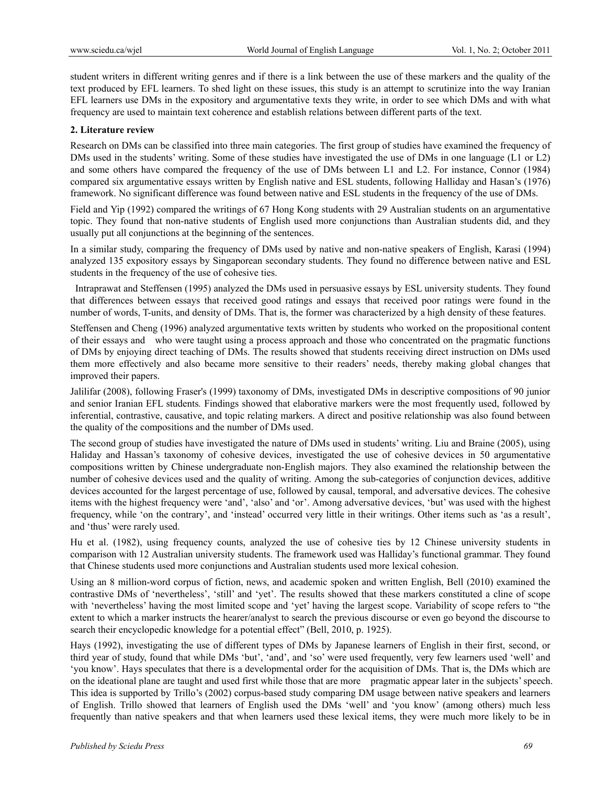student writers in different writing genres and if there is a link between the use of these markers and the quality of the text produced by EFL learners. To shed light on these issues, this study is an attempt to scrutinize into the way Iranian EFL learners use DMs in the expository and argumentative texts they write, in order to see which DMs and with what frequency are used to maintain text coherence and establish relations between different parts of the text.

## **2. Literature review**

Research on DMs can be classified into three main categories. The first group of studies have examined the frequency of DMs used in the students' writing. Some of these studies have investigated the use of DMs in one language (L1 or L2) and some others have compared the frequency of the use of DMs between L1 and L2. For instance, Connor (1984) compared six argumentative essays written by English native and ESL students, following Halliday and Hasan's (1976) framework. No significant difference was found between native and ESL students in the frequency of the use of DMs.

Field and Yip (1992) compared the writings of 67 Hong Kong students with 29 Australian students on an argumentative topic. They found that non-native students of English used more conjunctions than Australian students did, and they usually put all conjunctions at the beginning of the sentences.

In a similar study, comparing the frequency of DMs used by native and non-native speakers of English, Karasi (1994) analyzed 135 expository essays by Singaporean secondary students. They found no difference between native and ESL students in the frequency of the use of cohesive ties.

 Intraprawat and Steffensen (1995) analyzed the DMs used in persuasive essays by ESL university students. They found that differences between essays that received good ratings and essays that received poor ratings were found in the number of words, T-units, and density of DMs. That is, the former was characterized by a high density of these features.

Steffensen and Cheng (1996) analyzed argumentative texts written by students who worked on the propositional content of their essays and who were taught using a process approach and those who concentrated on the pragmatic functions of DMs by enjoying direct teaching of DMs. The results showed that students receiving direct instruction on DMs used them more effectively and also became more sensitive to their readers' needs, thereby making global changes that improved their papers.

Jalilifar (2008), following Fraser's (1999) taxonomy of DMs, investigated DMs in descriptive compositions of 90 junior and senior Iranian EFL students*.* Findings showed that elaborative markers were the most frequently used, followed by inferential, contrastive, causative, and topic relating markers. A direct and positive relationship was also found between the quality of the compositions and the number of DMs used.

The second group of studies have investigated the nature of DMs used in students' writing. Liu and Braine (2005), using Haliday and Hassan's taxonomy of cohesive devices, investigated the use of cohesive devices in 50 argumentative compositions written by Chinese undergraduate non-English majors. They also examined the relationship between the number of cohesive devices used and the quality of writing. Among the sub-categories of conjunction devices, additive devices accounted for the largest percentage of use, followed by causal, temporal, and adversative devices. The cohesive items with the highest frequency were 'and', 'also' and 'or'. Among adversative devices, 'but' was used with the highest frequency, while 'on the contrary', and 'instead' occurred very little in their writings. Other items such as 'as a result', and 'thus' were rarely used.

Hu et al. (1982), using frequency counts, analyzed the use of cohesive ties by 12 Chinese university students in comparison with 12 Australian university students. The framework used was Halliday's functional grammar. They found that Chinese students used more conjunctions and Australian students used more lexical cohesion.

Using an 8 million-word corpus of fiction, news, and academic spoken and written English, Bell (2010) examined the contrastive DMs of 'nevertheless', 'still' and 'yet'. The results showed that these markers constituted a cline of scope with 'nevertheless' having the most limited scope and 'yet' having the largest scope. Variability of scope refers to "the extent to which a marker instructs the hearer/analyst to search the previous discourse or even go beyond the discourse to search their encyclopedic knowledge for a potential effect" (Bell, 2010, p. 1925).

Hays (1992), investigating the use of different types of DMs by Japanese learners of English in their first, second, or third year of study, found that while DMs 'but', 'and', and 'so' were used frequently, very few learners used 'well' and 'you know'. Hays speculates that there is a developmental order for the acquisition of DMs. That is, the DMs which are on the ideational plane are taught and used first while those that are more pragmatic appear later in the subjects' speech. This idea is supported by Trillo's (2002) corpus-based study comparing DM usage between native speakers and learners of English. Trillo showed that learners of English used the DMs 'well' and 'you know' (among others) much less frequently than native speakers and that when learners used these lexical items, they were much more likely to be in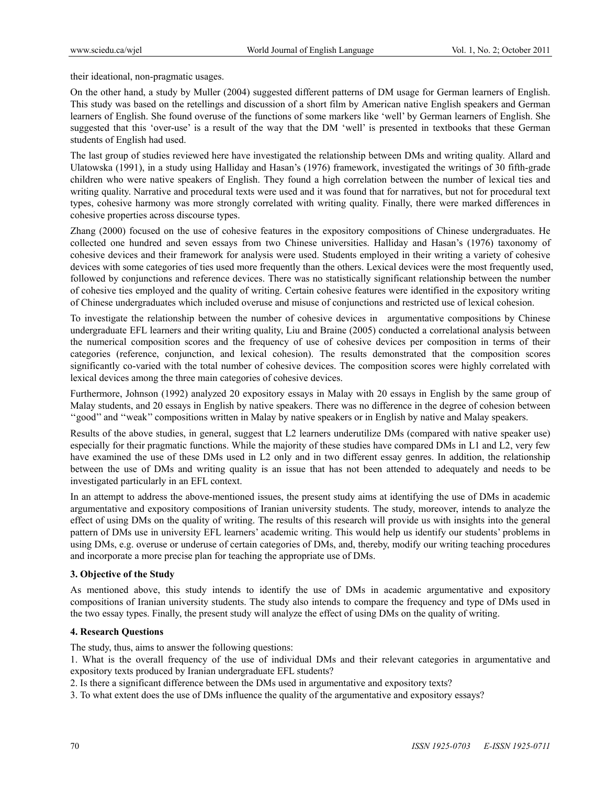their ideational, non-pragmatic usages.

On the other hand, a study by Muller (2004) suggested different patterns of DM usage for German learners of English. This study was based on the retellings and discussion of a short film by American native English speakers and German learners of English. She found overuse of the functions of some markers like 'well' by German learners of English. She suggested that this 'over-use' is a result of the way that the DM 'well' is presented in textbooks that these German students of English had used.

The last group of studies reviewed here have investigated the relationship between DMs and writing quality. Allard and Ulatowska (1991), in a study using Halliday and Hasan's (1976) framework, investigated the writings of 30 fifth-grade children who were native speakers of English. They found a high correlation between the number of lexical ties and writing quality. Narrative and procedural texts were used and it was found that for narratives, but not for procedural text types, cohesive harmony was more strongly correlated with writing quality. Finally, there were marked differences in cohesive properties across discourse types.

Zhang (2000) focused on the use of cohesive features in the expository compositions of Chinese undergraduates. He collected one hundred and seven essays from two Chinese universities. Halliday and Hasan's (1976) taxonomy of cohesive devices and their framework for analysis were used. Students employed in their writing a variety of cohesive devices with some categories of ties used more frequently than the others. Lexical devices were the most frequently used, followed by conjunctions and reference devices. There was no statistically significant relationship between the number of cohesive ties employed and the quality of writing. Certain cohesive features were identified in the expository writing of Chinese undergraduates which included overuse and misuse of conjunctions and restricted use of lexical cohesion.

To investigate the relationship between the number of cohesive devices in argumentative compositions by Chinese undergraduate EFL learners and their writing quality, Liu and Braine (2005) conducted a correlational analysis between the numerical composition scores and the frequency of use of cohesive devices per composition in terms of their categories (reference, conjunction, and lexical cohesion). The results demonstrated that the composition scores significantly co-varied with the total number of cohesive devices. The composition scores were highly correlated with lexical devices among the three main categories of cohesive devices.

Furthermore, Johnson (1992) analyzed 20 expository essays in Malay with 20 essays in English by the same group of Malay students, and 20 essays in English by native speakers. There was no difference in the degree of cohesion between ''good'' and ''weak'' compositions written in Malay by native speakers or in English by native and Malay speakers.

Results of the above studies, in general, suggest that L2 learners underutilize DMs (compared with native speaker use) especially for their pragmatic functions. While the majority of these studies have compared DMs in L1 and L2, very few have examined the use of these DMs used in L2 only and in two different essay genres. In addition, the relationship between the use of DMs and writing quality is an issue that has not been attended to adequately and needs to be investigated particularly in an EFL context.

In an attempt to address the above-mentioned issues, the present study aims at identifying the use of DMs in academic argumentative and expository compositions of Iranian university students. The study, moreover, intends to analyze the effect of using DMs on the quality of writing. The results of this research will provide us with insights into the general pattern of DMs use in university EFL learners' academic writing. This would help us identify our students' problems in using DMs, e.g. overuse or underuse of certain categories of DMs, and, thereby, modify our writing teaching procedures and incorporate a more precise plan for teaching the appropriate use of DMs.

## **3. Objective of the Study**

As mentioned above, this study intends to identify the use of DMs in academic argumentative and expository compositions of Iranian university students. The study also intends to compare the frequency and type of DMs used in the two essay types. Finally, the present study will analyze the effect of using DMs on the quality of writing.

## **4. Research Questions**

The study, thus, aims to answer the following questions:

1. What is the overall frequency of the use of individual DMs and their relevant categories in argumentative and expository texts produced by Iranian undergraduate EFL students?

2. Is there a significant difference between the DMs used in argumentative and expository texts?

3. To what extent does the use of DMs influence the quality of the argumentative and expository essays?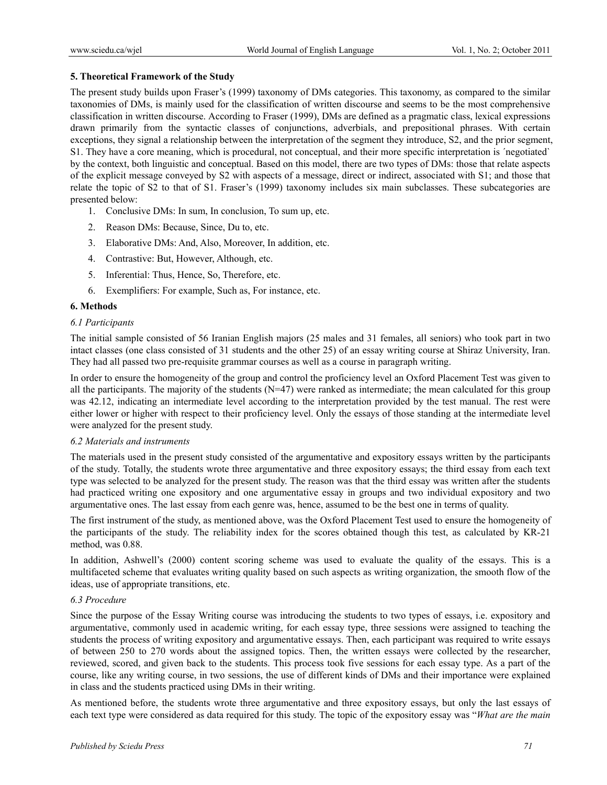## **5. Theoretical Framework of the Study**

The present study builds upon Fraser's (1999) taxonomy of DMs categories. This taxonomy, as compared to the similar taxonomies of DMs, is mainly used for the classification of written discourse and seems to be the most comprehensive classification in written discourse. According to Fraser (1999), DMs are defined as a pragmatic class, lexical expressions drawn primarily from the syntactic classes of conjunctions, adverbials, and prepositional phrases. With certain exceptions, they signal a relationship between the interpretation of the segment they introduce, S2, and the prior segment, S1. They have a core meaning, which is procedural, not conceptual, and their more specific interpretation is 'negotiated' by the context, both linguistic and conceptual. Based on this model, there are two types of DMs: those that relate aspects of the explicit message conveyed by S2 with aspects of a message, direct or indirect, associated with S1; and those that relate the topic of S2 to that of S1. Fraser's (1999) taxonomy includes six main subclasses. These subcategories are presented below:

- 1. Conclusive DMs: In sum, In conclusion, To sum up, etc.
- 2. Reason DMs: Because, Since, Du to, etc.
- 3. Elaborative DMs: And, Also, Moreover, In addition, etc.
- 4. Contrastive: But, However, Although, etc.
- 5. Inferential: Thus, Hence, So, Therefore, etc.
- 6. Exemplifiers: For example, Such as, For instance, etc.

# **6. Methods**

## *6.1 Participants*

The initial sample consisted of 56 Iranian English majors (25 males and 31 females, all seniors) who took part in two intact classes (one class consisted of 31 students and the other 25) of an essay writing course at Shiraz University, Iran. They had all passed two pre-requisite grammar courses as well as a course in paragraph writing.

In order to ensure the homogeneity of the group and control the proficiency level an Oxford Placement Test was given to all the participants. The majority of the students  $(N=47)$  were ranked as intermediate; the mean calculated for this group was 42.12, indicating an intermediate level according to the interpretation provided by the test manual. The rest were either lower or higher with respect to their proficiency level. Only the essays of those standing at the intermediate level were analyzed for the present study.

## *6.2 Materials and instruments*

The materials used in the present study consisted of the argumentative and expository essays written by the participants of the study. Totally, the students wrote three argumentative and three expository essays; the third essay from each text type was selected to be analyzed for the present study. The reason was that the third essay was written after the students had practiced writing one expository and one argumentative essay in groups and two individual expository and two argumentative ones. The last essay from each genre was, hence, assumed to be the best one in terms of quality.

The first instrument of the study, as mentioned above, was the Oxford Placement Test used to ensure the homogeneity of the participants of the study. The reliability index for the scores obtained though this test, as calculated by KR-21 method, was 0.88.

In addition, Ashwell's (2000) content scoring scheme was used to evaluate the quality of the essays. This is a multifaceted scheme that evaluates writing quality based on such aspects as writing organization, the smooth flow of the ideas, use of appropriate transitions, etc.

## *6.3 Procedure*

Since the purpose of the Essay Writing course was introducing the students to two types of essays, i.e. expository and argumentative, commonly used in academic writing, for each essay type, three sessions were assigned to teaching the students the process of writing expository and argumentative essays. Then, each participant was required to write essays of between 250 to 270 words about the assigned topics. Then, the written essays were collected by the researcher, reviewed, scored, and given back to the students. This process took five sessions for each essay type. As a part of the course, like any writing course, in two sessions, the use of different kinds of DMs and their importance were explained in class and the students practiced using DMs in their writing.

As mentioned before, the students wrote three argumentative and three expository essays, but only the last essays of each text type were considered as data required for this study. The topic of the expository essay was "*What are the main*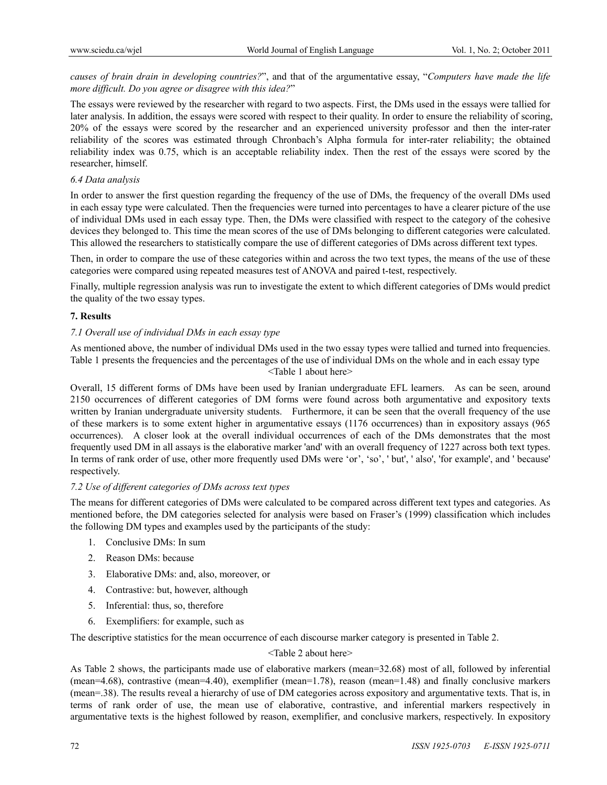*causes of brain drain in developing countries?*", and that of the argumentative essay, "*Computers have made the life more difficult. Do you agree or disagree with this idea?*"

The essays were reviewed by the researcher with regard to two aspects. First, the DMs used in the essays were tallied for later analysis. In addition, the essays were scored with respect to their quality. In order to ensure the reliability of scoring, 20% of the essays were scored by the researcher and an experienced university professor and then the inter-rater reliability of the scores was estimated through Chronbach's Alpha formula for inter-rater reliability; the obtained reliability index was 0.75, which is an acceptable reliability index. Then the rest of the essays were scored by the researcher, himself.

## *6.4 Data analysis*

In order to answer the first question regarding the frequency of the use of DMs, the frequency of the overall DMs used in each essay type were calculated. Then the frequencies were turned into percentages to have a clearer picture of the use of individual DMs used in each essay type. Then, the DMs were classified with respect to the category of the cohesive devices they belonged to. This time the mean scores of the use of DMs belonging to different categories were calculated. This allowed the researchers to statistically compare the use of different categories of DMs across different text types.

Then, in order to compare the use of these categories within and across the two text types, the means of the use of these categories were compared using repeated measures test of ANOVA and paired t-test, respectively.

Finally, multiple regression analysis was run to investigate the extent to which different categories of DMs would predict the quality of the two essay types.

## **7. Results**

## *7.1 Overall use of individual DMs in each essay type*

As mentioned above, the number of individual DMs used in the two essay types were tallied and turned into frequencies. Table 1 presents the frequencies and the percentages of the use of individual DMs on the whole and in each essay type <Table 1 about here>

Overall, 15 different forms of DMs have been used by Iranian undergraduate EFL learners. As can be seen, around 2150 occurrences of different categories of DM forms were found across both argumentative and expository texts written by Iranian undergraduate university students. Furthermore, it can be seen that the overall frequency of the use of these markers is to some extent higher in argumentative essays (1176 occurrences) than in expository assays (965 occurrences). A closer look at the overall individual occurrences of each of the DMs demonstrates that the most frequently used DM in all assays is the elaborative marker 'and' with an overall frequency of 1227 across both text types. In terms of rank order of use, other more frequently used DMs were 'or', 'so', ' but', ' also', 'for example', and ' because' respectively.

## *7.2 Use of different categories of DMs across text types*

The means for different categories of DMs were calculated to be compared across different text types and categories. As mentioned before, the DM categories selected for analysis were based on Fraser's (1999) classification which includes the following DM types and examples used by the participants of the study:

- 1. Conclusive DMs: In sum
- 2. Reason DMs: because
- 3. Elaborative DMs: and, also, moreover, or
- 4. Contrastive: but, however, although
- 5. Inferential: thus, so, therefore
- 6. Exemplifiers: for example, such as

The descriptive statistics for the mean occurrence of each discourse marker category is presented in Table 2.

## <Table 2 about here>

As Table 2 shows, the participants made use of elaborative markers (mean=32.68) most of all, followed by inferential (mean=4.68), contrastive (mean=4.40), exemplifier (mean=1.78), reason (mean=1.48) and finally conclusive markers (mean=.38). The results reveal a hierarchy of use of DM categories across expository and argumentative texts. That is, in terms of rank order of use, the mean use of elaborative, contrastive, and inferential markers respectively in argumentative texts is the highest followed by reason, exemplifier, and conclusive markers, respectively. In expository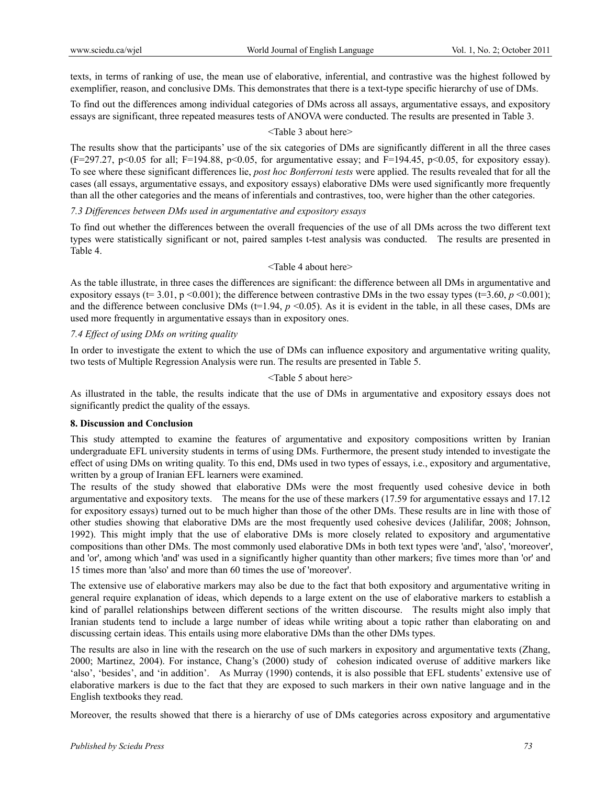texts, in terms of ranking of use, the mean use of elaborative, inferential, and contrastive was the highest followed by exemplifier, reason, and conclusive DMs. This demonstrates that there is a text-type specific hierarchy of use of DMs.

To find out the differences among individual categories of DMs across all assays, argumentative essays, and expository essays are significant, three repeated measures tests of ANOVA were conducted. The results are presented in Table 3.

#### <Table 3 about here>

The results show that the participants' use of the six categories of DMs are significantly different in all the three cases  $(F=297.27, p<0.05$  for all; F=194.88, p<0.05, for argumentative essay; and F=194.45, p<0.05, for expository essay). To see where these significant differences lie, *post hoc Bonferroni tests* were applied. The results revealed that for all the cases (all essays, argumentative essays, and expository essays) elaborative DMs were used significantly more frequently than all the other categories and the means of inferentials and contrastives, too, were higher than the other categories.

## *7.3 Differences between DMs used in argumentative and expository essays*

To find out whether the differences between the overall frequencies of the use of all DMs across the two different text types were statistically significant or not, paired samples t-test analysis was conducted. The results are presented in Table 4.

## <Table 4 about here>

As the table illustrate, in three cases the differences are significant: the difference between all DMs in argumentative and expository essays ( $t=3.01$ ,  $p \le 0.001$ ); the difference between contrastive DMs in the two essay types ( $t=3.60$ ,  $p \le 0.001$ ); and the difference between conclusive DMs ( $t=1.94$ ,  $p \le 0.05$ ). As it is evident in the table, in all these cases, DMs are used more frequently in argumentative essays than in expository ones.

## *7.4 Effect of using DMs on writing quality*

In order to investigate the extent to which the use of DMs can influence expository and argumentative writing quality, two tests of Multiple Regression Analysis were run. The results are presented in Table 5.

## <Table 5 about here>

As illustrated in the table, the results indicate that the use of DMs in argumentative and expository essays does not significantly predict the quality of the essays.

## **8. Discussion and Conclusion**

This study attempted to examine the features of argumentative and expository compositions written by Iranian undergraduate EFL university students in terms of using DMs. Furthermore, the present study intended to investigate the effect of using DMs on writing quality. To this end, DMs used in two types of essays, i.e., expository and argumentative, written by a group of Iranian EFL learners were examined.

The results of the study showed that elaborative DMs were the most frequently used cohesive device in both argumentative and expository texts. The means for the use of these markers (17.59 for argumentative essays and 17.12 for expository essays) turned out to be much higher than those of the other DMs. These results are in line with those of other studies showing that elaborative DMs are the most frequently used cohesive devices (Jalilifar, 2008; Johnson, 1992). This might imply that the use of elaborative DMs is more closely related to expository and argumentative compositions than other DMs. The most commonly used elaborative DMs in both text types were 'and', 'also', 'moreover', and 'or', among which 'and' was used in a significantly higher quantity than other markers; five times more than 'or' and 15 times more than 'also' and more than 60 times the use of 'moreover'.

The extensive use of elaborative markers may also be due to the fact that both expository and argumentative writing in general require explanation of ideas, which depends to a large extent on the use of elaborative markers to establish a kind of parallel relationships between different sections of the written discourse. The results might also imply that Iranian students tend to include a large number of ideas while writing about a topic rather than elaborating on and discussing certain ideas. This entails using more elaborative DMs than the other DMs types.

The results are also in line with the research on the use of such markers in expository and argumentative texts (Zhang, 2000; Martinez, 2004). For instance, Chang's (2000) study of cohesion indicated overuse of additive markers like 'also', 'besides', and 'in addition'. As Murray (1990) contends, it is also possible that EFL students' extensive use of elaborative markers is due to the fact that they are exposed to such markers in their own native language and in the English textbooks they read.

Moreover, the results showed that there is a hierarchy of use of DMs categories across expository and argumentative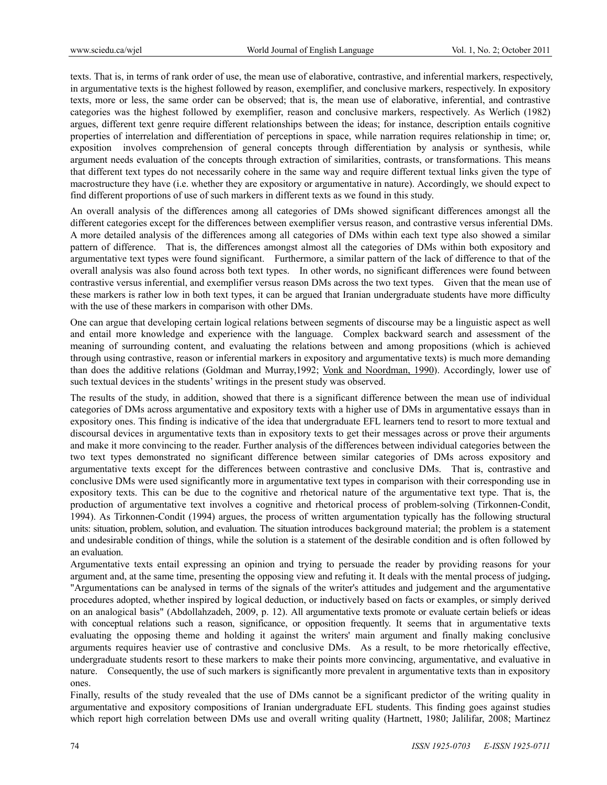texts. That is, in terms of rank order of use, the mean use of elaborative, contrastive, and inferential markers, respectively, in argumentative texts is the highest followed by reason, exemplifier, and conclusive markers, respectively. In expository texts, more or less, the same order can be observed; that is, the mean use of elaborative, inferential, and contrastive categories was the highest followed by exemplifier, reason and conclusive markers, respectively. As Werlich (1982) argues, different text genre require different relationships between the ideas; for instance, description entails cognitive properties of interrelation and differentiation of perceptions in space, while narration requires relationship in time; or, exposition involves comprehension of general concepts through differentiation by analysis or synthesis, while argument needs evaluation of the concepts through extraction of similarities, contrasts, or transformations. This means that different text types do not necessarily cohere in the same way and require different textual links given the type of macrostructure they have (i.e. whether they are expository or argumentative in nature). Accordingly, we should expect to find different proportions of use of such markers in different texts as we found in this study.

An overall analysis of the differences among all categories of DMs showed significant differences amongst all the different categories except for the differences between exemplifier versus reason, and contrastive versus inferential DMs. A more detailed analysis of the differences among all categories of DMs within each text type also showed a similar pattern of difference. That is, the differences amongst almost all the categories of DMs within both expository and argumentative text types were found significant. Furthermore, a similar pattern of the lack of difference to that of the overall analysis was also found across both text types. In other words, no significant differences were found between contrastive versus inferential, and exemplifier versus reason DMs across the two text types. Given that the mean use of these markers is rather low in both text types, it can be argued that Iranian undergraduate students have more difficulty with the use of these markers in comparison with other DMs.

One can argue that developing certain logical relations between segments of discourse may be a linguistic aspect as well and entail more knowledge and experience with the language. Complex backward search and assessment of the meaning of surrounding content, and evaluating the relations between and among propositions (which is achieved through using contrastive, reason or inferential markers in expository and argumentative texts) is much more demanding than does the additive relations (Goldman and Murray,1992; Vonk and Noordman, 1990). Accordingly, lower use of such textual devices in the students' writings in the present study was observed.

The results of the study, in addition, showed that there is a significant difference between the mean use of individual categories of DMs across argumentative and expository texts with a higher use of DMs in argumentative essays than in expository ones. This finding is indicative of the idea that undergraduate EFL learners tend to resort to more textual and discoursal devices in argumentative texts than in expository texts to get their messages across or prove their arguments and make it more convincing to the reader. Further analysis of the differences between individual categories between the two text types demonstrated no significant difference between similar categories of DMs across expository and argumentative texts except for the differences between contrastive and conclusive DMs. That is, contrastive and conclusive DMs were used significantly more in argumentative text types in comparison with their corresponding use in expository texts. This can be due to the cognitive and rhetorical nature of the argumentative text type. That is, the production of argumentative text involves a cognitive and rhetorical process of problem-solving (Tirkonnen-Condit, 1994). As Tirkonnen-Condit (1994) argues, the process of written argumentation typically has the following structural units: situation, problem, solution, and evaluation. The situation introduces background material; the problem is a statement and undesirable condition of things, while the solution is a statement of the desirable condition and is often followed by an evaluation.

Argumentative texts entail expressing an opinion and trying to persuade the reader by providing reasons for your argument and, at the same time, presenting the opposing view and refuting it. It deals with the mental process of judging**.** "Argumentations can be analysed in terms of the signals of the writer's attitudes and judgement and the argumentative procedures adopted, whether inspired by logical deduction, or inductively based on facts or examples, or simply derived on an analogical basis" (Abdollahzadeh, 2009, p. 12). All argumentative texts promote or evaluate certain beliefs or ideas with conceptual relations such a reason, significance, or opposition frequently. It seems that in argumentative texts evaluating the opposing theme and holding it against the writers' main argument and finally making conclusive arguments requires heavier use of contrastive and conclusive DMs. As a result, to be more rhetorically effective, undergraduate students resort to these markers to make their points more convincing, argumentative, and evaluative in nature. Consequently, the use of such markers is significantly more prevalent in argumentative texts than in expository ones.

Finally, results of the study revealed that the use of DMs cannot be a significant predictor of the writing quality in argumentative and expository compositions of Iranian undergraduate EFL students. This finding goes against studies which report high correlation between DMs use and overall writing quality (Hartnett, 1980; Jalilifar, 2008; Martinez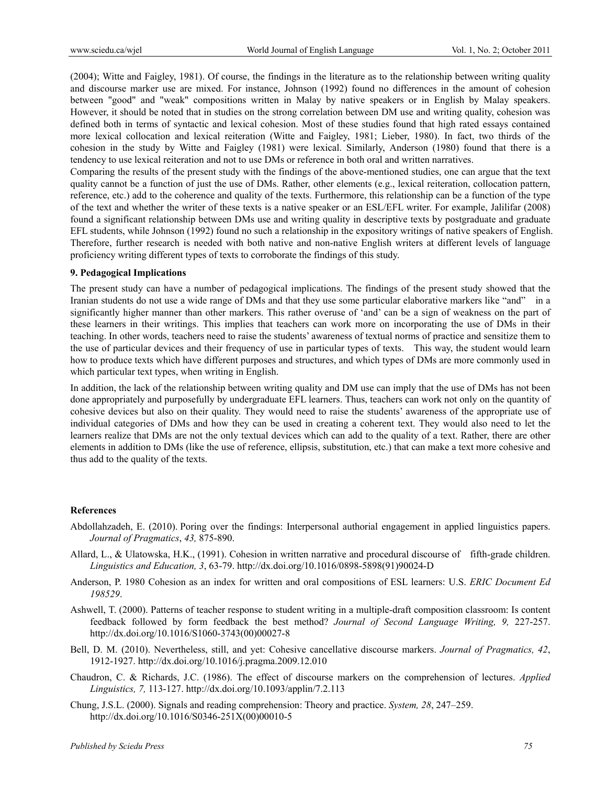(2004); Witte and Faigley, 1981). Of course, the findings in the literature as to the relationship between writing quality and discourse marker use are mixed. For instance, Johnson (1992) found no differences in the amount of cohesion between "good" and "weak" compositions written in Malay by native speakers or in English by Malay speakers. However, it should be noted that in studies on the strong correlation between DM use and writing quality, cohesion was defined both in terms of syntactic and lexical cohesion. Most of these studies found that high rated essays contained more lexical collocation and lexical reiteration (Witte and Faigley, 1981; Lieber, 1980). In fact, two thirds of the cohesion in the study by Witte and Faigley (1981) were lexical. Similarly, Anderson (1980) found that there is a tendency to use lexical reiteration and not to use DMs or reference in both oral and written narratives.

Comparing the results of the present study with the findings of the above-mentioned studies, one can argue that the text quality cannot be a function of just the use of DMs. Rather, other elements (e.g., lexical reiteration, collocation pattern, reference, etc.) add to the coherence and quality of the texts. Furthermore, this relationship can be a function of the type of the text and whether the writer of these texts is a native speaker or an ESL/EFL writer. For example, Jalilifar (2008) found a significant relationship between DMs use and writing quality in descriptive texts by postgraduate and graduate EFL students, while Johnson (1992) found no such a relationship in the expository writings of native speakers of English. Therefore, further research is needed with both native and non-native English writers at different levels of language proficiency writing different types of texts to corroborate the findings of this study.

## **9. Pedagogical Implications**

The present study can have a number of pedagogical implications. The findings of the present study showed that the Iranian students do not use a wide range of DMs and that they use some particular elaborative markers like "and" in a significantly higher manner than other markers. This rather overuse of 'and' can be a sign of weakness on the part of these learners in their writings. This implies that teachers can work more on incorporating the use of DMs in their teaching. In other words, teachers need to raise the students' awareness of textual norms of practice and sensitize them to the use of particular devices and their frequency of use in particular types of texts. This way, the student would learn how to produce texts which have different purposes and structures, and which types of DMs are more commonly used in which particular text types, when writing in English.

In addition, the lack of the relationship between writing quality and DM use can imply that the use of DMs has not been done appropriately and purposefully by undergraduate EFL learners. Thus, teachers can work not only on the quantity of cohesive devices but also on their quality. They would need to raise the students' awareness of the appropriate use of individual categories of DMs and how they can be used in creating a coherent text. They would also need to let the learners realize that DMs are not the only textual devices which can add to the quality of a text. Rather, there are other elements in addition to DMs (like the use of reference, ellipsis, substitution, etc.) that can make a text more cohesive and thus add to the quality of the texts.

#### **References**

- Abdollahzadeh, E. (2010). Poring over the findings: Interpersonal authorial engagement in applied linguistics papers. *Journal of Pragmatics*, *43,* 875-890.
- Allard, L., & Ulatowska, H.K., (1991). Cohesion in written narrative and procedural discourse of fifth-grade children. *Linguistics and Education, 3*, 63-79. http://dx.doi.org/10.1016/0898-5898(91)90024-D
- Anderson, P. 1980 Cohesion as an index for written and oral compositions of ESL learners: U.S. *ERIC Document Ed 198529*.
- Ashwell, T. (2000). Patterns of teacher response to student writing in a multiple-draft composition classroom: Is content feedback followed by form feedback the best method? *Journal of Second Language Writing, 9,* 227-257. http://dx.doi.org/10.1016/S1060-3743(00)00027-8
- Bell, D. M. (2010). Nevertheless, still, and yet: Cohesive cancellative discourse markers. *Journal of Pragmatics, 42*, 1912-1927. http://dx.doi.org/10.1016/j.pragma.2009.12.010
- Chaudron, C. & Richards, J.C. (1986). The effect of discourse markers on the comprehension of lectures. *Applied Linguistics, 7,* 113-127. http://dx.doi.org/10.1093/applin/7.2.113
- Chung, J.S.L. (2000). Signals and reading comprehension: Theory and practice. *System, 28*, 247–259. http://dx.doi.org/10.1016/S0346-251X(00)00010-5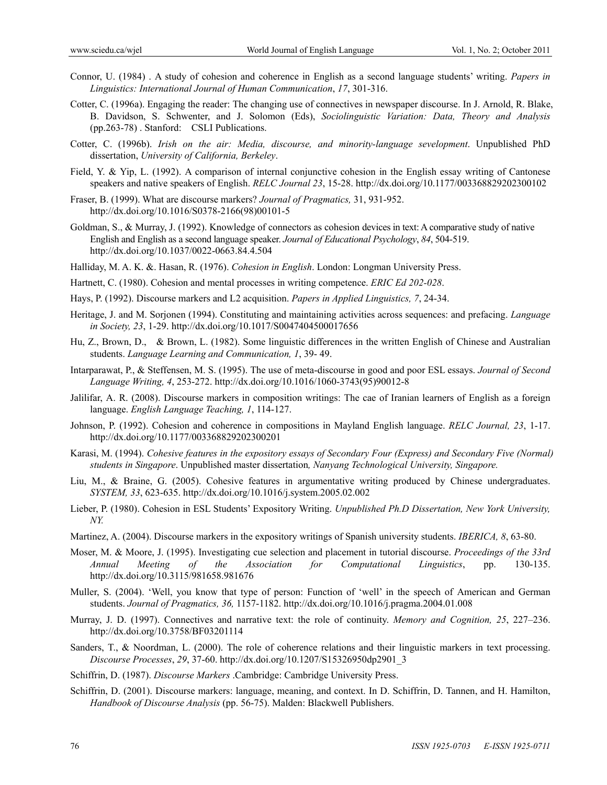- Connor, U. (1984) . A study of cohesion and coherence in English as a second language students' writing. *Papers in Linguistics: International Journal of Human Communication*, *17*, 301-316.
- Cotter, C. (1996a). Engaging the reader: The changing use of connectives in newspaper discourse. In J. Arnold, R. Blake, B. Davidson, S. Schwenter, and J. Solomon (Eds), *Sociolinguistic Variation: Data, Theory and Analysis*  (pp.263-78) . Stanford: CSLI Publications.
- Cotter, C. (1996b). *Irish on the air: Media, discourse, and minority-language sevelopment*. Unpublished PhD dissertation, *University of California, Berkeley*.
- Field, Y. & Yip, L. (1992). A comparison of internal conjunctive cohesion in the English essay writing of Cantonese speakers and native speakers of English. *RELC Journal 23*, 15-28. http://dx.doi.org/10.1177/003368829202300102
- Fraser, B. (1999). What are discourse markers? *Journal of Pragmatics,* 31, 931-952. http://dx.doi.org/10.1016/S0378-2166(98)00101-5
- Goldman, S., & Murray, J. (1992). Knowledge of connectors as cohesion devices in text: A comparative study of native English and English as a second language speaker. *Journal of Educational Psychology*, *84*, 504-519. http://dx.doi.org/10.1037/0022-0663.84.4.504
- Halliday, M. A. K. &. Hasan, R. (1976). *Cohesion in English*. London: Longman University Press.
- Hartnett, C. (1980). Cohesion and mental processes in writing competence. *ERIC Ed 202-028*.
- Hays, P. (1992). Discourse markers and L2 acquisition. *Papers in Applied Linguistics, 7*, 24-34.
- Heritage, J. and M. Sorjonen (1994). Constituting and maintaining activities across sequences: and prefacing. *Language in Society, 23*, 1-29. http://dx.doi.org/10.1017/S0047404500017656
- Hu, Z., Brown, D., & Brown, L. (1982). Some linguistic differences in the written English of Chinese and Australian students. *Language Learning and Communication, 1*, 39- 49.
- Intarparawat, P., & Steffensen, M. S. (1995). The use of meta-discourse in good and poor ESL essays. *Journal of Second Language Writing, 4*, 253-272. http://dx.doi.org/10.1016/1060-3743(95)90012-8
- Jalilifar, A. R. (2008). Discourse markers in composition writings: The cae of Iranian learners of English as a foreign language. *English Language Teaching, 1*, 114-127.
- Johnson, P. (1992). Cohesion and coherence in compositions in Mayland English language. *RELC Journal, 23*, 1-17. http://dx.doi.org/10.1177/003368829202300201
- Karasi, M. (1994). *Cohesive features in the expository essays of Secondary Four (Express) and Secondary Five (Normal) students in Singapore*. Unpublished master dissertation*, Nanyang Technological University, Singapore.*
- Liu, M., & Braine, G. (2005). Cohesive features in argumentative writing produced by Chinese undergraduates. *SYSTEM, 33*, 623-635. http://dx.doi.org/10.1016/j.system.2005.02.002
- Lieber, P. (1980). Cohesion in ESL Students' Expository Writing. *Unpublished Ph.D Dissertation, New York University, NY.*
- Martinez, A. (2004). Discourse markers in the expository writings of Spanish university students. *IBERICA, 8*, 63-80.
- Moser, M. & Moore, J. (1995). Investigating cue selection and placement in tutorial discourse. *Proceedings of the 33rd Annual Meeting of the Association for Computational Linguistics*, pp. 130-135. http://dx.doi.org/10.3115/981658.981676
- Muller, S. (2004). 'Well, you know that type of person: Function of 'well' in the speech of American and German students. *Journal of Pragmatics, 36,* 1157-1182. http://dx.doi.org/10.1016/j.pragma.2004.01.008
- Murray, J. D. (1997). Connectives and narrative text: the role of continuity. *Memory and Cognition, 25*, 227–236. http://dx.doi.org/10.3758/BF03201114
- Sanders, T., & Noordman, L. (2000). The role of coherence relations and their linguistic markers in text processing. *Discourse Processes*, *29*, 37-60. http://dx.doi.org/10.1207/S15326950dp2901\_3
- Schiffrin, D. (1987). *Discourse Markers* .Cambridge: Cambridge University Press.
- Schiffrin, D. (2001). Discourse markers: language, meaning, and context. In D. Schiffrin, D. Tannen, and H. Hamilton, *Handbook of Discourse Analysis* (pp. 56-75). Malden: Blackwell Publishers.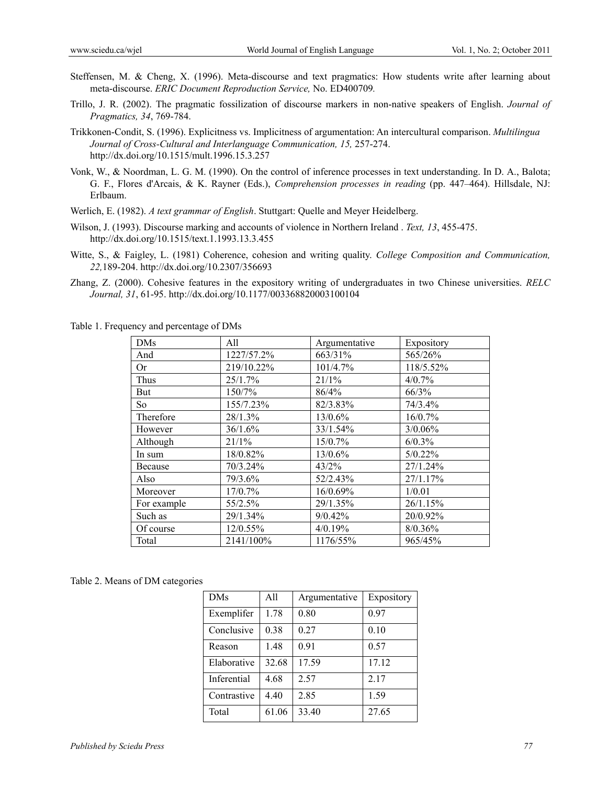- Steffensen, M. & Cheng, X. (1996). Meta-discourse and text pragmatics: How students write after learning about meta-discourse. *ERIC Document Reproduction Service,* No. ED400709*.*
- Trillo, J. R. (2002). The pragmatic fossilization of discourse markers in non-native speakers of English. *Journal of Pragmatics, 34*, 769-784.
- Trikkonen-Condit, S. (1996). Explicitness vs. Implicitness of argumentation: An intercultural comparison. *Multilingua Journal of Cross-Cultural and Interlanguage Communication, 15,* 257-274. http://dx.doi.org/10.1515/mult.1996.15.3.257
- Vonk, W., & Noordman, L. G. M. (1990). On the control of inference processes in text understanding. In D. A., Balota; G. F., Flores d'Arcais, & K. Rayner (Eds.), *Comprehension processes in reading* (pp. 447–464). Hillsdale, NJ: Erlbaum.
- Werlich, E. (1982). *A text grammar of English*. Stuttgart: Quelle and Meyer Heidelberg.
- Wilson, J. (1993). Discourse marking and accounts of violence in Northern Ireland . *Text, 13*, 455-475. http://dx.doi.org/10.1515/text.1.1993.13.3.455
- Witte, S., & Faigley, L. (1981) Coherence, cohesion and writing quality. *College Composition and Communication, 22,*189-204. http://dx.doi.org/10.2307/356693
- Zhang, Z. (2000). Cohesive features in the expository writing of undergraduates in two Chinese universities. *RELC Journal, 31*, 61-95. http://dx.doi.org/10.1177/003368820003100104

Table 1. Frequency and percentage of DMs

| <b>DMs</b>  | All        | Argumentative | Expository |  |
|-------------|------------|---------------|------------|--|
| And         | 1227/57.2% | 663/31%       | 565/26%    |  |
| <b>Or</b>   | 219/10.22% | 101/4.7%      | 118/5.52%  |  |
| Thus        | 25/1.7%    | 21/1%         | 4/0.7%     |  |
| But         | 150/7%     | 86/4%         | 66/3%      |  |
| So          | 155/7.23%  | 82/3.83%      | $74/3.4\%$ |  |
| Therefore   | 28/1.3%    | 13/0.6%       | 16/0.7%    |  |
| However     | 36/1.6%    | 33/1.54%      | 3/0.06%    |  |
| Although    | 21/1%      | 15/0.7%       | 6/0.3%     |  |
| In sum      | 18/0.82%   | 13/0.6%       | $5/0.22\%$ |  |
| Because     | 70/3.24%   | 43/2%         | 27/1.24%   |  |
| Also        | 79/3.6%    | 52/2.43%      | 27/1.17%   |  |
| Moreover    | 17/0.7%    | 16/0.69%      | 1/0.01     |  |
| For example | 55/2.5%    | 29/1.35%      | 26/1.15%   |  |
| Such as     | 29/1.34%   | 9/0.42%       | 20/0.92%   |  |
| Of course   | 12/0.55%   | 4/0.19%       | 8/0.36%    |  |
| Total       | 2141/100%  | 1176/55%      | 965/45%    |  |

| Table 2. Means of DM categories |  |
|---------------------------------|--|
|---------------------------------|--|

| <b>DMs</b>  | All   | Argumentative | Expository |
|-------------|-------|---------------|------------|
| Exemplifer  | 1.78  | 0.80          | 0.97       |
| Conclusive  | 0.38  | 0.27          | 0.10       |
| Reason      | 1.48  | 0.91          | 0.57       |
| Elaborative | 32.68 | 17.59         | 17.12      |
| Inferential | 4.68  | 2.57          | 2.17       |
| Contrastive | 4.40  | 2.85          | 1.59       |
| Total       | 61.06 | 33.40         | 27.65      |